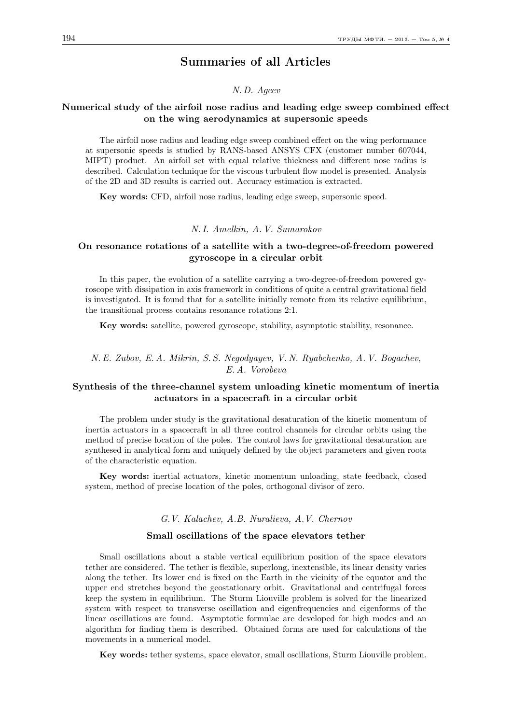# Summaries of all Articles

### N. D. Ageev

## Numerical study of the airfoil nose radius and leading edge sweep combined effect on the wing aerodynamics at supersonic speeds

The airfoil nose radius and leading edge sweep combined effect on the wing performance at supersonic speeds is studied by RANS-based ANSYS CFX (customer number 607044, MIPT) product. An airfoil set with equal relative thickness and different nose radius is described. Calculation technique for the viscous turbulent flow model is presented. Analysis of the 2D and 3D results is carried out. Accuracy estimation is extracted.

Key words: CFD, airfoil nose radius, leading edge sweep, supersonic speed.

#### N. I. Amelkin, A. V. Sumarokov

## On resonance rotations of a satellite with a two-degree-of-freedom powered gyroscope in a circular orbit

In this paper, the evolution of a satellite carrying a two-degree-of-freedom powered gyroscope with dissipation in axis framework in conditions of quite a central gravitational field is investigated. It is found that for a satellite initially remote from its relative equilibrium, the transitional process contains resonance rotations 2:1.

Key words: satellite, powered gyroscope, stability, asymptotic stability, resonance.

## N. E. Zubov, E. A. Mikrin, S. S. Negodyayev, V. N. Ryabchenko, A. V. Bogachev, E. A. Vorobeva

## Synthesis of the three-channel system unloading kinetic momentum of inertia actuators in a spacecraft in a circular orbit

The problem under study is the gravitational desaturation of the kinetic momentum of inertia actuators in a spacecraft in all three control channels for circular orbits using the method of precise location of the poles. The control laws for gravitational desaturation are synthesed in analytical form and uniquely defined by the object parameters and given roots of the characteristic equation.

Key words: inertial actuators, kinetic momentum unloading, state feedback, closed system, method of precise location of the poles, orthogonal divisor of zero.

#### G.V. Kalachev, A.B. Nuralieva, A.V. Chernov

#### Small oscillations of the space elevators tether

Small oscillations about a stable vertical equilibrium position of the space elevators tether are considered. The tether is flexible, superlong, inextensible, its linear density varies along the tether. Its lower end is fixed on the Earth in the vicinity of the equator and the upper end stretches beyond the geostationary orbit. Gravitational and centrifugal forces keep the system in equilibrium. The Sturm Liouville problem is solved for the linearized system with respect to transverse oscillation and eigenfrequencies and eigenforms of the linear oscillations are found. Asymptotic formulae are developed for high modes and an algorithm for finding them is described. Obtained forms are used for calculations of the movements in a numerical model.

Key words: tether systems, space elevator, small oscillations, Sturm Liouville problem.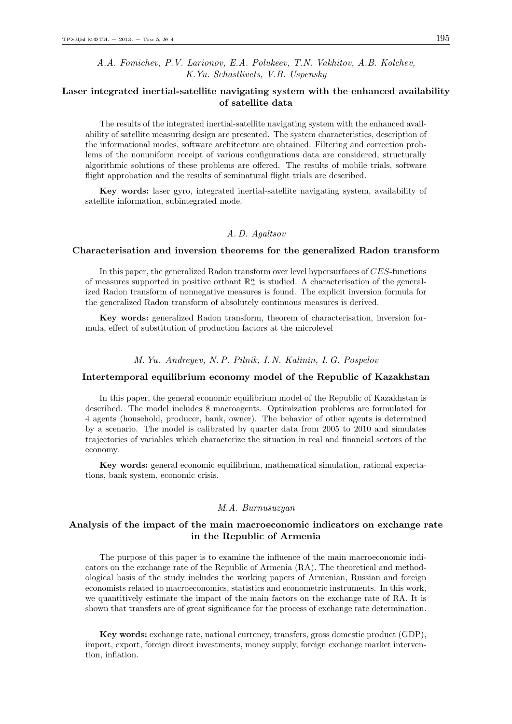A.A. Fomichev, P.V. Larionov, E.A. Polukeev, T.N. Vakhitov, A.B. Kolchev, K.Yu. Schastlivets, V.B. Uspensky

## Laser integrated inertial-satellite navigating system with the enhanced availability of satellite data

The results of the integrated inertial-satellite navigating system with the enhanced availability of satellite measuring design are presented. The system characteristics, description of the informational modes, software architecture are obtained. Filtering and correction problems of the nonuniform receipt of various configurations data are considered, structurally algorithmic solutions of these problems are offered. The results of mobile trials, software flight approbation and the results of seminatural flight trials are described.

Key words: laser gyro, integrated inertial-satellite navigating system, availability of satellite information, subintegrated mode.

### A. D. Agaltsov

#### Characterisation and inversion theorems for the generalized Radon transform

In this paper, the generalized Radon transform over level hypersurfaces of  $CES$ -functions of measures supported in positive orthant  $\mathbb{R}^n_+$  is studied. A characterisation of the generalized Radon transform of nonnegative measures is found. The explicit inversion formula for the generalized Radon transform of absolutely continuous measures is derived.

Key words: generalized Radon transform, theorem of characterisation, inversion formula, effect of substitution of production factors at the microlevel

#### M. Yu. Andreyev, N. P. Pilnik, I. N. Kalinin, I. G. Pospelov

#### Intertemporal equilibrium economy model of the Republic of Kazakhstan

In this paper, the general economic equilibrium model of the Republic of Kazakhstan is described. The model includes 8 macroagents. Optimization problems are formulated for 4 agents (household, producer, bank, owner). The behavior of other agents is determined by a scenario. The model is calibrated by quarter data from 2005 to 2010 and simulates trajectories of variables which characterize the situation in real and financial sectors of the economy.

Key words: general economic equilibrium, mathematical simulation, rational expectations, bank system, economic crisis.

### M.A. Burnusuzyan

## Analysis of the impact of the main macroeconomic indicators on exchange rate in the Republic of Armenia

The purpose of this paper is to examine the influence of the main macroeconomic indicators on the exchange rate of the Republic of Armenia (RA). The theoretical and methodological basis of the study includes the working papers of Armenian, Russian and foreign economists related to macroeconomics, statistics and econometric instruments. In this work, we quantitively estimate the impact of the main factors on the exchange rate of RA. It is shown that transfers are of great significance for the process of exchange rate determination.

Key words: exchange rate, national currency, transfers, gross domestic product (GDP), import, export, foreign direct investments, money supply, foreign exchange market intervention, inflation.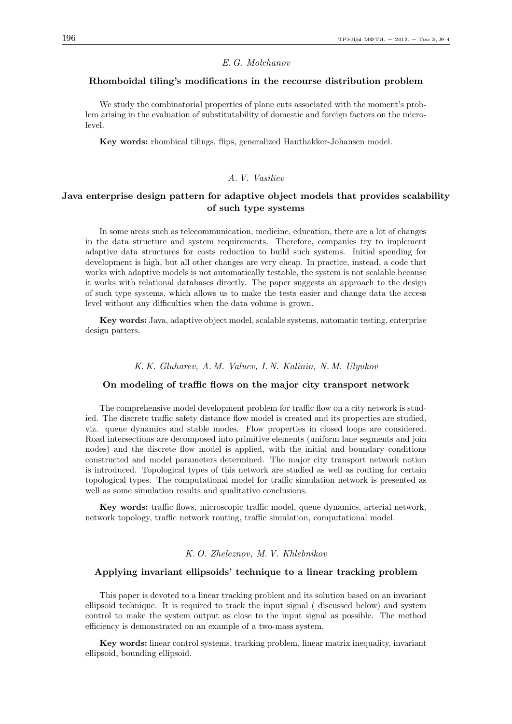## E. G. Molchanov

#### Rhomboidal tiling's modifications in the recourse distribution problem

We study the combinatorial properties of plane cuts associated with the moment's problem arising in the evaluation of substitutability of domestic and foreign factors on the microlevel.

Key words: rhombical tilings, flips, generalized Hauthakker-Johansen model.

## A. V. Vasiliev

## Java enterprise design pattern for adaptive object models that provides scalability of such type systems

In some areas such as telecommunication, medicine, education, there are a lot of changes in the data structure and system requirements. Therefore, companies try to implement adaptive data structures for costs reduction to build such systems. Initial spending for development is high, but all other changes are very cheap. In practice, instead, a code that works with adaptive models is not automatically testable, the system is not scalable because it works with relational databases directly. The paper suggests an approach to the design of such type systems, which allows us to make the tests easier and change data the access level without any difficulties when the data volume is grown.

Key words: Java, adaptive object model, scalable systems, automatic testing, enterprise design patters.

#### K. K. Gluharev, A. M. Valuev, I. N. Kalinin, N. M. Ulyukov

#### On modeling of traffic flows on the major city transport network

The comprehensive model development problem for traffic flow on a city network is studied. The discrete traffic safety distance flow model is created and its properties are studied, viz. queue dynamics and stable modes. Flow properties in closed loops are considered. Road intersections are decomposed into primitive elements (uniform lane segments and join nodes) and the discrete flow model is applied, with the initial and boundary conditions constructed and model parameters determined. The major city transport network notion is introduced. Topological types of this network are studied as well as routing for certain topological types. The computational model for traffic simulation network is presented as well as some simulation results and qualitative conclusions.

Key words: traffic flows, microscopic traffic model, queue dynamics, arterial network, network topology, traffic network routing, traffic simulation, computational model.

### K. O. Zheleznov, M. V. Khlebnikov

#### Applying invariant ellipsoids' technique to a linear tracking problem

This paper is devoted to a linear tracking problem and its solution based on an invariant ellipsoid technique. It is required to track the input signal ( discussed below) and system control to make the system output as close to the input signal as possible. The method efficiency is demonstrated on an example of a two-mass system.

Key words: linear control systems, tracking problem, linear matrix inequality, invariant ellipsoid, bounding ellipsoid.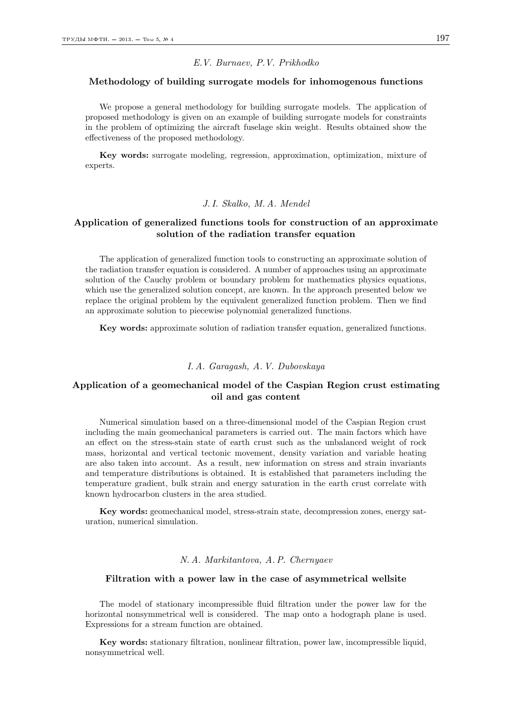#### E.V. Burnaev, P.V. Prikhodko

### Methodology of building surrogate models for inhomogenous functions

We propose a general methodology for building surrogate models. The application of proposed methodology is given on an example of building surrogate models for constraints in the problem of optimizing the aircraft fuselage skin weight. Results obtained show the effectiveness of the proposed methodology.

Key words: surrogate modeling, regression, approximation, optimization, mixture of experts.

### J. I. Skalko, M. A. Mendel

## Application of generalized functions tools for construction of an approximate solution of the radiation transfer equation

The application of generalized function tools to constructing an approximate solution of the radiation transfer equation is considered. A number of approaches using an approximate solution of the Cauchy problem or boundary problem for mathematics physics equations, which use the generalized solution concept, are known. In the approach presented below we replace the original problem by the equivalent generalized function problem. Then we find an approximate solution to piecewise polynomial generalized functions.

Key words: approximate solution of radiation transfer equation, generalized functions.

### I. A. Garagash, A. V. Dubovskaya

## Application of a geomechanical model of the Caspian Region crust estimating oil and gas content

Numerical simulation based on a three-dimensional model of the Caspian Region crust including the main geomechanical parameters is carried out. The main factors which have an effect on the stress-stain state of earth crust such as the unbalanced weight of rock mass, horizontal and vertical tectonic movement, density variation and variable heating are also taken into account. As a result, new information on stress and strain invariants and temperature distributions is obtained. It is established that parameters including the temperature gradient, bulk strain and energy saturation in the earth crust correlate with known hydrocarbon clusters in the area studied.

Key words: geomechanical model, stress-strain state, decompression zones, energy saturation, numerical simulation.

### N. A. Markitantova, A. P. Chernyaev

### Filtration with a power law in the case of asymmetrical wellsite

The model of stationary incompressible fluid filtration under the power law for the horizontal nonsymmetrical well is considered. The map onto a hodograph plane is used. Expressions for a stream function are obtained.

Key words: stationary filtration, nonlinear filtration, power law, incompressible liquid, nonsymmetrical well.